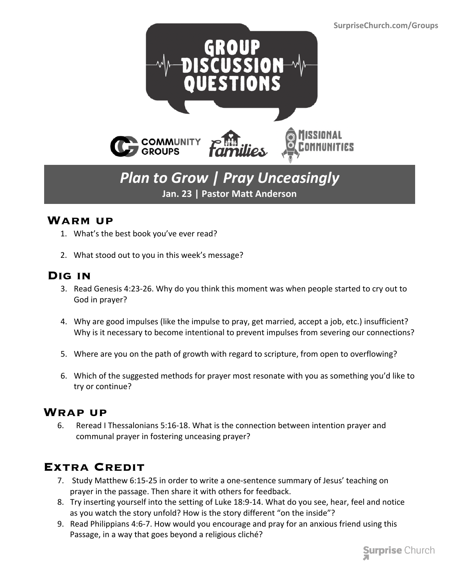

# *Plan to Grow | Pray Unceasingly* **Jan. 23 | Pastor Matt Anderson**

#### **Warm up**

- 1. What's the best book you've ever read?
- 2. What stood out to you in this week's message?

### **Dig in**

- 3. Read Genesis 4:23-26. Why do you think this moment was when people started to cry out to God in prayer?
- 4. Why are good impulses (like the impulse to pray, get married, accept a job, etc.) insufficient? Why is it necessary to become intentional to prevent impulses from severing our connections?
- 5. Where are you on the path of growth with regard to scripture, from open to overflowing?
- 6. Which of the suggested methods for prayer most resonate with you as something you'd like to try or continue?

#### **Wrap up**

 6. Reread I Thessalonians 5:16-18. What is the connection between intention prayer and communal prayer in fostering unceasing prayer?

## **Extra Credit**

- 7. Study Matthew 6:15-25 in order to write a one-sentence summary of Jesus' teaching on prayer in the passage. Then share it with others for feedback.
- 8. Try inserting yourself into the setting of Luke 18:9-14. What do you see, hear, feel and notice as you watch the story unfold? How is the story different "on the inside"?
- 9. Read Philippians 4:6-7. How would you encourage and pray for an anxious friend using this Passage, in a way that goes beyond a religious cliché?